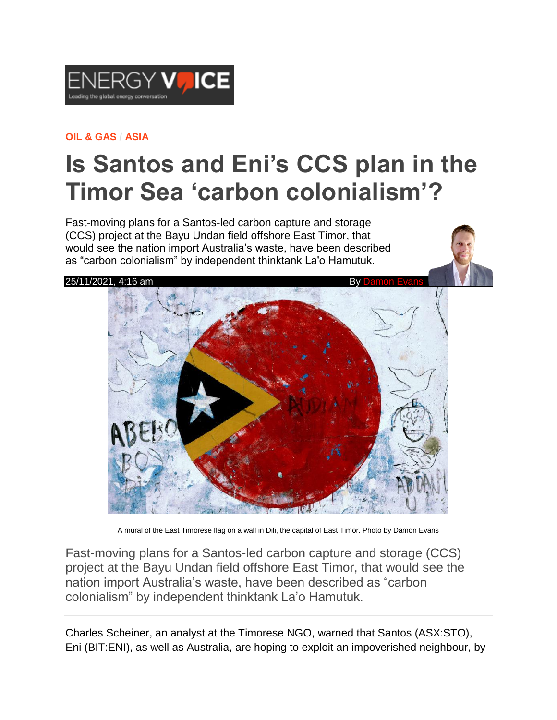

#### **[OIL & GAS](https://www.energyvoice.com/category/oilandgas/) / [ASIA](https://www.energyvoice.com/category/oilandgas/asia/)**

# **Is Santos and Eni's CCS plan in the Timor Sea 'carbon colonialism'?**

Fast-moving plans for a Santos-led carbon capture and storage (CCS) project at the Bayu Undan field offshore East Timor, that would see the nation import Australia's waste, have been described as "carbon colonialism" by independent thinktank La'o Hamutuk.



A mural of the East Timorese flag on a wall in Dili, the capital of East Timor. Photo by Damon Evans

Fast-moving plans for a Santos-led carbon capture and storage (CCS) project at the Bayu Undan field offshore East Timor, that would see the nation import Australia's waste, have been described as "carbon colonialism" by independent thinktank La'o Hamutuk.

Charles Scheiner, an analyst at the Timorese NGO, warned that Santos (ASX:STO), Eni (BIT:ENI), as well as Australia, are hoping to exploit an impoverished neighbour, by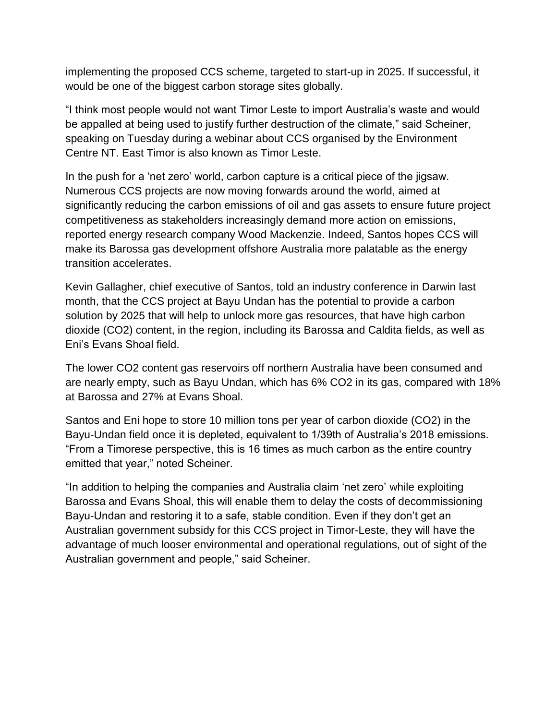implementing the proposed CCS scheme, targeted to start-up in 2025. If successful, it would be one of the biggest carbon storage sites globally.

"I think most people would not want Timor Leste to import Australia's waste and would be appalled at being used to justify further destruction of the climate," said Scheiner, speaking on Tuesday during a webinar about CCS organised by the Environment Centre NT. East Timor is also known as Timor Leste.

In the push for a 'net zero' world, carbon capture is a critical piece of the jigsaw. Numerous CCS projects are now moving forwards around the world, aimed at significantly reducing the carbon emissions of oil and gas assets to ensure future project competitiveness as stakeholders increasingly demand more action on emissions, reported energy research company Wood Mackenzie. Indeed, Santos hopes CCS will make its Barossa gas development offshore Australia more palatable as the energy transition accelerates.

Kevin Gallagher, chief executive of Santos, told an industry conference in Darwin last month, that the CCS project at Bayu Undan has the potential to provide a carbon solution by 2025 that will help to unlock more gas resources, that have high carbon dioxide (CO2) content, in the region, including its Barossa and Caldita fields, as well as Eni's Evans Shoal field.

The lower CO2 content gas reservoirs off northern Australia have been consumed and are nearly empty, such as Bayu Undan, which has 6% CO2 in its gas, compared with 18% at Barossa and 27% at Evans Shoal.

Santos and Eni hope to store 10 million tons per year of carbon dioxide (CO2) in the Bayu-Undan field once it is depleted, equivalent to 1/39th of Australia's 2018 emissions. "From a Timorese perspective, this is 16 times as much carbon as the entire country emitted that year," noted Scheiner.

"In addition to helping the companies and Australia claim 'net zero' while exploiting Barossa and Evans Shoal, this will enable them to delay the costs of decommissioning Bayu-Undan and restoring it to a safe, stable condition. Even if they don't get an Australian government subsidy for this CCS project in Timor-Leste, they will have the advantage of much looser environmental and operational regulations, out of sight of the Australian government and people," said Scheiner.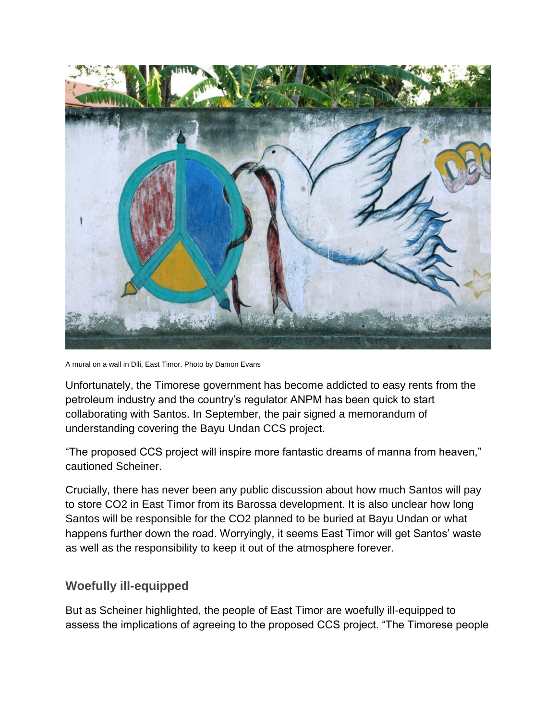

A mural on a wall in Dili, East Timor. Photo by Damon Evans

Unfortunately, the Timorese government has become addicted to easy rents from the petroleum industry and the country's regulator ANPM has been quick to start collaborating with Santos. In September, the pair signed a memorandum of understanding covering the Bayu Undan CCS project.

"The proposed CCS project will inspire more fantastic dreams of manna from heaven," cautioned Scheiner.

Crucially, there has never been any public discussion about how much Santos will pay to store CO2 in East Timor from its Barossa development. It is also unclear how long Santos will be responsible for the CO2 planned to be buried at Bayu Undan or what happens further down the road. Worryingly, it seems East Timor will get Santos' waste as well as the responsibility to keep it out of the atmosphere forever.

### **Woefully ill-equipped**

But as Scheiner highlighted, the people of East Timor are woefully ill-equipped to assess the implications of agreeing to the proposed CCS project. "The Timorese people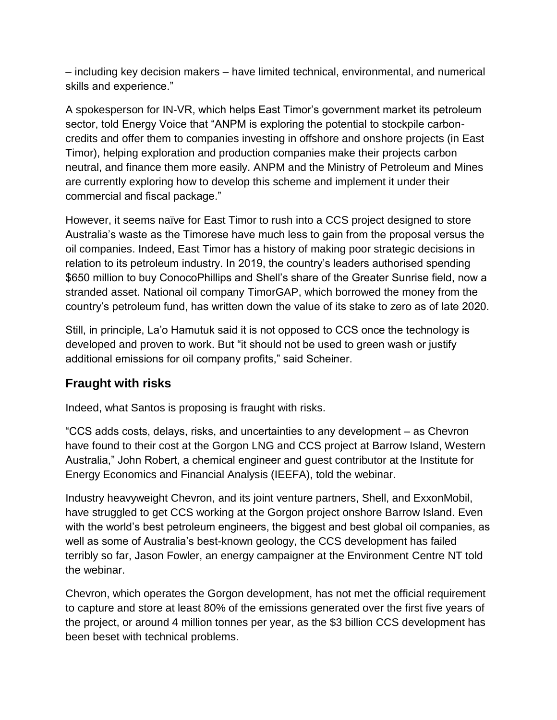– including key decision makers – have limited technical, environmental, and numerical skills and experience."

A spokesperson for IN-VR, which helps East Timor's government market its petroleum sector, told Energy Voice that "ANPM is exploring the potential to stockpile carboncredits and offer them to companies investing in offshore and onshore projects (in East Timor), helping exploration and production companies make their projects carbon neutral, and finance them more easily. ANPM and the Ministry of Petroleum and Mines are currently exploring how to develop this scheme and implement it under their commercial and fiscal package."

However, it seems naïve for East Timor to rush into a CCS project designed to store Australia's waste as the Timorese have much less to gain from the proposal versus the oil companies. Indeed, East Timor has a history of making poor strategic decisions in relation to its petroleum industry. In 2019, the country's leaders authorised spending \$650 million to buy ConocoPhillips and Shell's share of the Greater Sunrise field, now a stranded asset. National oil company TimorGAP, which borrowed the money from the country's petroleum fund, has written down the value of its stake to zero as of late 2020.

Still, in principle, La'o Hamutuk said it is not opposed to CCS once the technology is developed and proven to work. But "it should not be used to green wash or justify additional emissions for oil company profits," said Scheiner.

## **Fraught with risks**

Indeed, what Santos is proposing is fraught with risks.

"CCS adds costs, delays, risks, and uncertainties to any development – as Chevron have found to their cost at the Gorgon LNG and CCS project at Barrow Island, Western Australia," John Robert, a chemical engineer and guest contributor at the Institute for Energy Economics and Financial Analysis (IEEFA), told the webinar.

Industry heavyweight Chevron, and its joint venture partners, Shell, and ExxonMobil, have struggled to get CCS working at the Gorgon project onshore Barrow Island. Even with the world's best petroleum engineers, the biggest and best global oil companies, as well as some of Australia's best-known geology, the CCS development has failed terribly so far, Jason Fowler, an energy campaigner at the Environment Centre NT told the webinar.

Chevron, which operates the Gorgon development, has not met the official requirement to capture and store at least 80% of the emissions generated over the first five years of the project, or around 4 million tonnes per year, as the \$3 billion CCS development has been beset with technical problems.